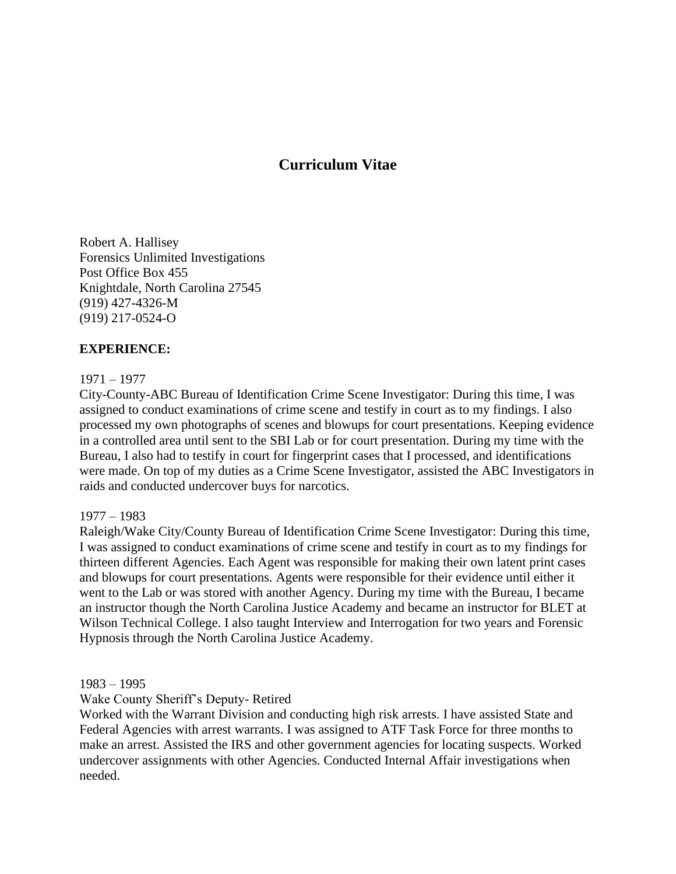# **Curriculum Vitae**

Robert A. Hallisey Forensics Unlimited Investigations Post Office Box 455 Knightdale, North Carolina 27545 (919) 427-4326-M (919) 217-0524-O

## **EXPERIENCE:**

### 1971 – 1977

City-County-ABC Bureau of Identification Crime Scene Investigator: During this time, I was assigned to conduct examinations of crime scene and testify in court as to my findings. I also processed my own photographs of scenes and blowups for court presentations. Keeping evidence in a controlled area until sent to the SBI Lab or for court presentation. During my time with the Bureau, I also had to testify in court for fingerprint cases that I processed, and identifications were made. On top of my duties as a Crime Scene Investigator, assisted the ABC Investigators in raids and conducted undercover buys for narcotics.

#### 1977 – 1983

Raleigh/Wake City/County Bureau of Identification Crime Scene Investigator: During this time, I was assigned to conduct examinations of crime scene and testify in court as to my findings for thirteen different Agencies. Each Agent was responsible for making their own latent print cases and blowups for court presentations. Agents were responsible for their evidence until either it went to the Lab or was stored with another Agency. During my time with the Bureau, I became an instructor though the North Carolina Justice Academy and became an instructor for BLET at Wilson Technical College. I also taught Interview and Interrogation for two years and Forensic Hypnosis through the North Carolina Justice Academy.

1983 – 1995

Wake County Sheriff's Deputy- Retired

Worked with the Warrant Division and conducting high risk arrests. I have assisted State and Federal Agencies with arrest warrants. I was assigned to ATF Task Force for three months to make an arrest. Assisted the IRS and other government agencies for locating suspects. Worked undercover assignments with other Agencies. Conducted Internal Affair investigations when needed.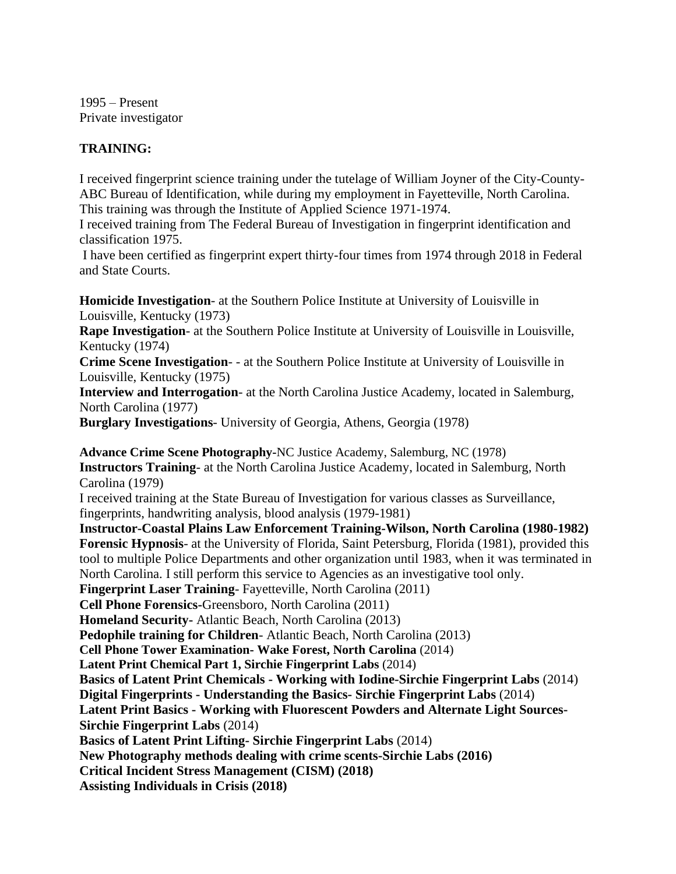1995 – Present Private investigator

## **TRAINING:**

I received fingerprint science training under the tutelage of William Joyner of the City-County-ABC Bureau of Identification, while during my employment in Fayetteville, North Carolina. This training was through the Institute of Applied Science 1971-1974.

I received training from The Federal Bureau of Investigation in fingerprint identification and classification 1975.

I have been certified as fingerprint expert thirty-four times from 1974 through 2018 in Federal and State Courts.

**Homicide Investigation**- at the Southern Police Institute at University of Louisville in Louisville, Kentucky (1973)

**Rape Investigation**- at the Southern Police Institute at University of Louisville in Louisville, Kentucky (1974)

**Crime Scene Investigation**- - at the Southern Police Institute at University of Louisville in Louisville, Kentucky (1975)

**Interview and Interrogation**- at the North Carolina Justice Academy, located in Salemburg, North Carolina (1977)

**Burglary Investigations**- University of Georgia, Athens, Georgia (1978)

**Advance Crime Scene Photography-**NC Justice Academy, Salemburg, NC (1978) **Instructors Training**- at the North Carolina Justice Academy, located in Salemburg, North Carolina (1979) I received training at the State Bureau of Investigation for various classes as Surveillance, fingerprints, handwriting analysis, blood analysis (1979-1981) **Instructor-Coastal Plains Law Enforcement Training-Wilson, North Carolina (1980-1982) Forensic Hypnosis**- at the University of Florida, Saint Petersburg, Florida (1981), provided this tool to multiple Police Departments and other organization until 1983, when it was terminated in North Carolina. I still perform this service to Agencies as an investigative tool only. **Fingerprint Laser Training**- Fayetteville, North Carolina (2011) **Cell Phone Forensics-**Greensboro, North Carolina (2011) **Homeland Security-** Atlantic Beach, North Carolina (2013) **Pedophile training for Children**- Atlantic Beach, North Carolina (2013) **Cell Phone Tower Examination- Wake Forest, North Carolina** (2014) **Latent Print Chemical Part 1, Sirchie Fingerprint Labs** (2014) **Basics of Latent Print Chemicals - Working with Iodine-Sirchie Fingerprint Labs** (2014) **Digital Fingerprints - Understanding the Basics- Sirchie Fingerprint Labs** (2014) **Latent Print Basics - Working with Fluorescent Powders and Alternate Light Sources-Sirchie Fingerprint Labs** (2014) **Basics of Latent Print Lifting- Sirchie Fingerprint Labs** (2014) **New Photography methods dealing with crime scents-Sirchie Labs (2016) Critical Incident Stress Management (CISM) (2018) Assisting Individuals in Crisis (2018)**